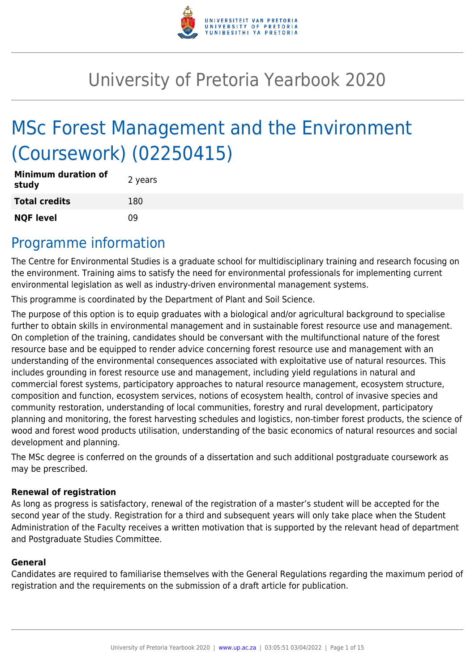

# University of Pretoria Yearbook 2020

# MSc Forest Management and the Environment (Coursework) (02250415)

| <b>Minimum duration of</b><br>study | 2 years |
|-------------------------------------|---------|
| <b>Total credits</b>                | 180     |
| <b>NQF level</b>                    | n۹      |

## Programme information

The Centre for Environmental Studies is a graduate school for multidisciplinary training and research focusing on the environment. Training aims to satisfy the need for environmental professionals for implementing current environmental legislation as well as industry-driven environmental management systems.

This programme is coordinated by the Department of Plant and Soil Science.

The purpose of this option is to equip graduates with a biological and/or agricultural background to specialise further to obtain skills in environmental management and in sustainable forest resource use and management. On completion of the training, candidates should be conversant with the multifunctional nature of the forest resource base and be equipped to render advice concerning forest resource use and management with an understanding of the environmental consequences associated with exploitative use of natural resources. This includes grounding in forest resource use and management, including yield regulations in natural and commercial forest systems, participatory approaches to natural resource management, ecosystem structure, composition and function, ecosystem services, notions of ecosystem health, control of invasive species and community restoration, understanding of local communities, forestry and rural development, participatory planning and monitoring, the forest harvesting schedules and logistics, non-timber forest products, the science of wood and forest wood products utilisation, understanding of the basic economics of natural resources and social development and planning.

The MSc degree is conferred on the grounds of a dissertation and such additional postgraduate coursework as may be prescribed.

## **Renewal of registration**

As long as progress is satisfactory, renewal of the registration of a master's student will be accepted for the second year of the study. Registration for a third and subsequent years will only take place when the Student Administration of the Faculty receives a written motivation that is supported by the relevant head of department and Postgraduate Studies Committee.

#### **General**

Candidates are required to familiarise themselves with the General Regulations regarding the maximum period of registration and the requirements on the submission of a draft article for publication.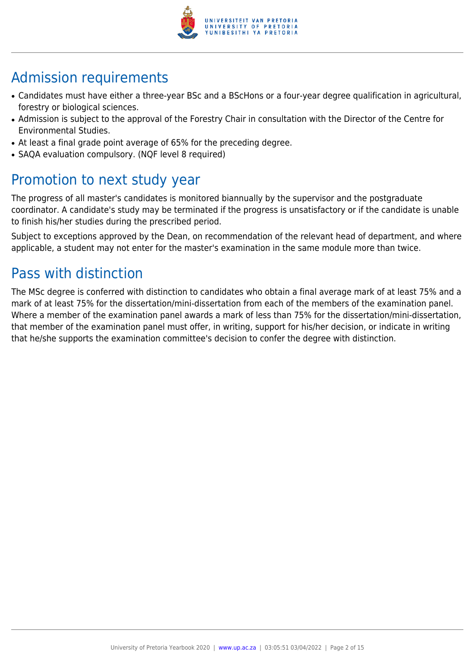

## Admission requirements

- Candidates must have either a three-year BSc and a BScHons or a four-year degree qualification in agricultural, forestry or biological sciences.
- Admission is subiect to the approval of the Forestry Chair in consultation with the Director of the Centre for Environmental Studies.
- At least a final grade point average of 65% for the preceding degree.
- SAQA evaluation compulsory. (NQF level 8 required)

## Promotion to next study year

The progress of all master's candidates is monitored biannually by the supervisor and the postgraduate coordinator. A candidate's study may be terminated if the progress is unsatisfactory or if the candidate is unable to finish his/her studies during the prescribed period.

Subject to exceptions approved by the Dean, on recommendation of the relevant head of department, and where applicable, a student may not enter for the master's examination in the same module more than twice.

## Pass with distinction

The MSc degree is conferred with distinction to candidates who obtain a final average mark of at least 75% and a mark of at least 75% for the dissertation/mini-dissertation from each of the members of the examination panel. Where a member of the examination panel awards a mark of less than 75% for the dissertation/mini-dissertation, that member of the examination panel must offer, in writing, support for his/her decision, or indicate in writing that he/she supports the examination committee's decision to confer the degree with distinction.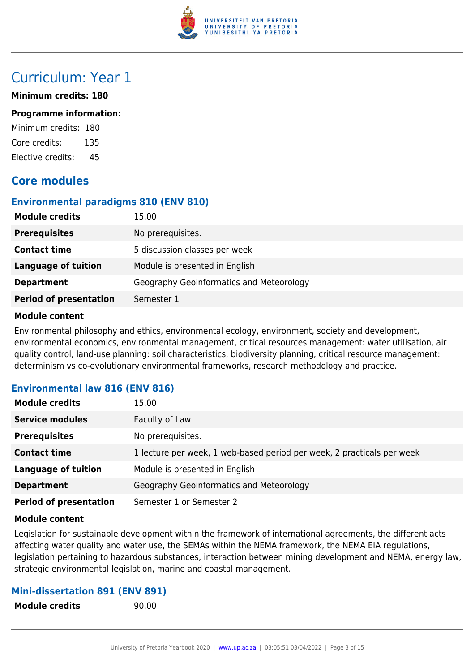

## Curriculum: Year 1

#### **Minimum credits: 180**

#### **Programme information:**

Minimum credits: 180 Core credits: 135 Elective credits: 45

## **Core modules**

### **Environmental paradigms 810 (ENV 810)**

| <b>Module credits</b>         | 15.00                                    |
|-------------------------------|------------------------------------------|
| <b>Prerequisites</b>          | No prerequisites.                        |
| <b>Contact time</b>           | 5 discussion classes per week            |
| <b>Language of tuition</b>    | Module is presented in English           |
| <b>Department</b>             | Geography Geoinformatics and Meteorology |
| <b>Period of presentation</b> | Semester 1                               |

#### **Module content**

Environmental philosophy and ethics, environmental ecology, environment, society and development, environmental economics, environmental management, critical resources management: water utilisation, air quality control, land-use planning: soil characteristics, biodiversity planning, critical resource management: determinism vs co-evolutionary environmental frameworks, research methodology and practice.

## **Environmental law 816 (ENV 816)**

| <b>Module credits</b>         | 15.00                                                                  |
|-------------------------------|------------------------------------------------------------------------|
| <b>Service modules</b>        | Faculty of Law                                                         |
| <b>Prerequisites</b>          | No prerequisites.                                                      |
| <b>Contact time</b>           | 1 lecture per week, 1 web-based period per week, 2 practicals per week |
| <b>Language of tuition</b>    | Module is presented in English                                         |
| <b>Department</b>             | Geography Geoinformatics and Meteorology                               |
| <b>Period of presentation</b> | Semester 1 or Semester 2                                               |

#### **Module content**

Legislation for sustainable development within the framework of international agreements, the different acts affecting water quality and water use, the SEMAs within the NEMA framework, the NEMA EIA regulations, legislation pertaining to hazardous substances, interaction between mining development and NEMA, energy law, strategic environmental legislation, marine and coastal management.

#### **Mini-dissertation 891 (ENV 891)**

**Module credits** 90.00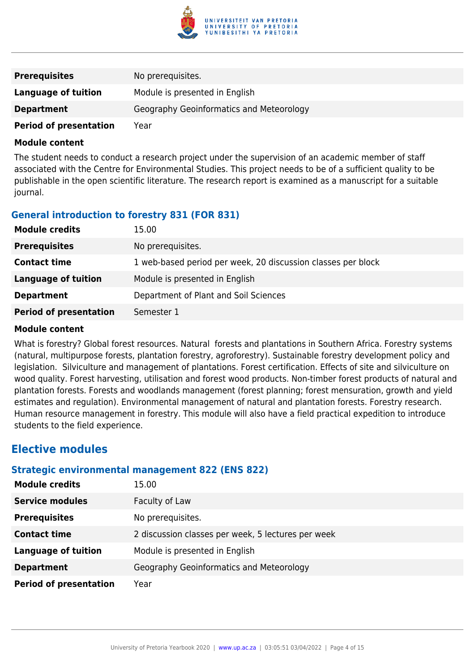

| <b>Prerequisites</b>          | No prerequisites.                        |
|-------------------------------|------------------------------------------|
| Language of tuition           | Module is presented in English           |
| <b>Department</b>             | Geography Geoinformatics and Meteorology |
| <b>Period of presentation</b> | Year                                     |

The student needs to conduct a research project under the supervision of an academic member of staff associated with the Centre for Environmental Studies. This project needs to be of a sufficient quality to be publishable in the open scientific literature. The research report is examined as a manuscript for a suitable journal.

## **General introduction to forestry 831 (FOR 831)**

| <b>Module credits</b>         | 15.00                                                        |
|-------------------------------|--------------------------------------------------------------|
| <b>Prerequisites</b>          | No prerequisites.                                            |
| <b>Contact time</b>           | 1 web-based period per week, 20 discussion classes per block |
| Language of tuition           | Module is presented in English                               |
| <b>Department</b>             | Department of Plant and Soil Sciences                        |
| <b>Period of presentation</b> | Semester 1                                                   |

#### **Module content**

What is forestry? Global forest resources. Natural forests and plantations in Southern Africa. Forestry systems (natural, multipurpose forests, plantation forestry, agroforestry). Sustainable forestry development policy and legislation. Silviculture and management of plantations. Forest certification. Effects of site and silviculture on wood quality. Forest harvesting, utilisation and forest wood products. Non-timber forest products of natural and plantation forests. Forests and woodlands management (forest planning; forest mensuration, growth and yield estimates and regulation). Environmental management of natural and plantation forests. Forestry research. Human resource management in forestry. This module will also have a field practical expedition to introduce students to the field experience.

## **Elective modules**

#### **Strategic environmental management 822 (ENS 822)**

| <b>Module credits</b>         | 15.00                                              |
|-------------------------------|----------------------------------------------------|
| <b>Service modules</b>        | Faculty of Law                                     |
| <b>Prerequisites</b>          | No prerequisites.                                  |
| <b>Contact time</b>           | 2 discussion classes per week, 5 lectures per week |
| <b>Language of tuition</b>    | Module is presented in English                     |
| <b>Department</b>             | Geography Geoinformatics and Meteorology           |
| <b>Period of presentation</b> | Year                                               |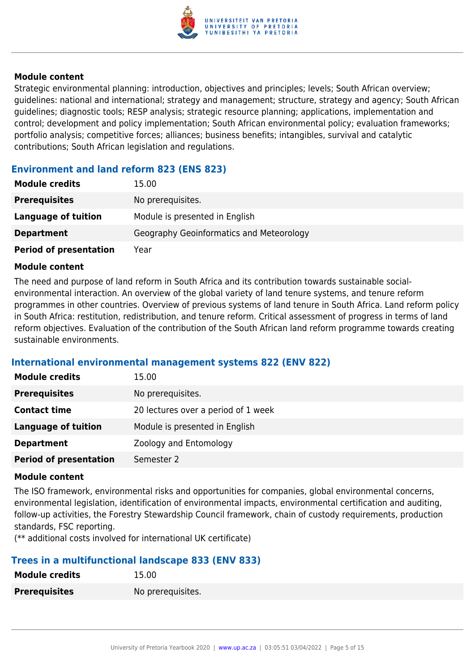

Strategic environmental planning: introduction, objectives and principles; levels; South African overview; guidelines: national and international; strategy and management; structure, strategy and agency; South African guidelines; diagnostic tools; RESP analysis; strategic resource planning; applications, implementation and control; development and policy implementation; South African environmental policy; evaluation frameworks; portfolio analysis; competitive forces; alliances; business benefits; intangibles, survival and catalytic contributions; South African legislation and regulations.

### **Environment and land reform 823 (ENS 823)**

| <b>Module credits</b>         | 15.00                                    |
|-------------------------------|------------------------------------------|
| <b>Prerequisites</b>          | No prerequisites.                        |
| Language of tuition           | Module is presented in English           |
| <b>Department</b>             | Geography Geoinformatics and Meteorology |
| <b>Period of presentation</b> | Year                                     |

#### **Module content**

The need and purpose of land reform in South Africa and its contribution towards sustainable socialenvironmental interaction. An overview of the global variety of land tenure systems, and tenure reform programmes in other countries. Overview of previous systems of land tenure in South Africa. Land reform policy in South Africa: restitution, redistribution, and tenure reform. Critical assessment of progress in terms of land reform objectives. Evaluation of the contribution of the South African land reform programme towards creating sustainable environments.

## **International environmental management systems 822 (ENV 822)**

| <b>Module credits</b>         | 15.00                               |
|-------------------------------|-------------------------------------|
| <b>Prerequisites</b>          | No prerequisites.                   |
| <b>Contact time</b>           | 20 lectures over a period of 1 week |
| Language of tuition           | Module is presented in English      |
| <b>Department</b>             | Zoology and Entomology              |
| <b>Period of presentation</b> | Semester 2                          |

#### **Module content**

The ISO framework, environmental risks and opportunities for companies, global environmental concerns, environmental legislation, identification of environmental impacts, environmental certification and auditing, follow-up activities, the Forestry Stewardship Council framework, chain of custody requirements, production standards, FSC reporting.

(\*\* additional costs involved for international UK certificate)

## **Trees in a multifunctional landscape 833 (ENV 833)**

| <b>Module credits</b> | 15.00             |
|-----------------------|-------------------|
| <b>Prerequisites</b>  | No prerequisites. |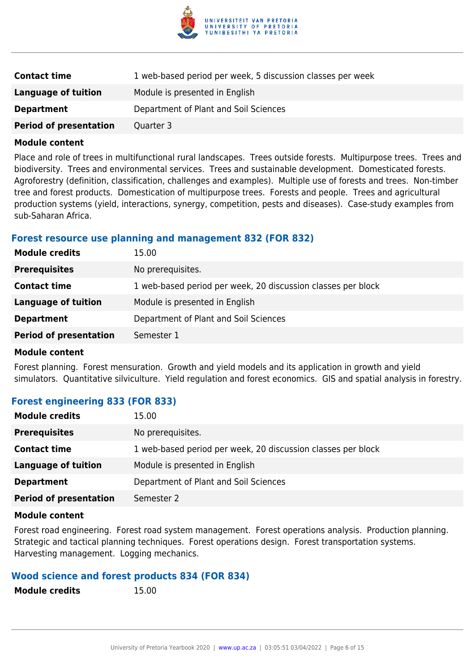

| <b>Contact time</b>           | 1 web-based period per week, 5 discussion classes per week |
|-------------------------------|------------------------------------------------------------|
| Language of tuition           | Module is presented in English                             |
| <b>Department</b>             | Department of Plant and Soil Sciences                      |
| <b>Period of presentation</b> | Quarter 3                                                  |

Place and role of trees in multifunctional rural landscapes. Trees outside forests. Multipurpose trees. Trees and biodiversity. Trees and environmental services. Trees and sustainable development. Domesticated forests. Agroforestry (definition, classification, challenges and examples). Multiple use of forests and trees. Non-timber tree and forest products. Domestication of multipurpose trees. Forests and people. Trees and agricultural production systems (yield, interactions, synergy, competition, pests and diseases). Case-study examples from sub-Saharan Africa.

#### **Forest resource use planning and management 832 (FOR 832)**

| <b>Module credits</b>         | 15.00                                                        |
|-------------------------------|--------------------------------------------------------------|
| <b>Prerequisites</b>          | No prerequisites.                                            |
| <b>Contact time</b>           | 1 web-based period per week, 20 discussion classes per block |
| <b>Language of tuition</b>    | Module is presented in English                               |
| <b>Department</b>             | Department of Plant and Soil Sciences                        |
| <b>Period of presentation</b> | Semester 1                                                   |
|                               |                                                              |

#### **Module content**

Forest planning. Forest mensuration. Growth and yield models and its application in growth and yield simulators. Quantitative silviculture. Yield regulation and forest economics. GIS and spatial analysis in forestry.

#### **Forest engineering 833 (FOR 833)**

| <b>Module credits</b>         | 15.00                                                        |
|-------------------------------|--------------------------------------------------------------|
| <b>Prerequisites</b>          | No prerequisites.                                            |
| <b>Contact time</b>           | 1 web-based period per week, 20 discussion classes per block |
| <b>Language of tuition</b>    | Module is presented in English                               |
| <b>Department</b>             | Department of Plant and Soil Sciences                        |
| <b>Period of presentation</b> | Semester 2                                                   |

#### **Module content**

Forest road engineering. Forest road system management. Forest operations analysis. Production planning. Strategic and tactical planning techniques. Forest operations design. Forest transportation systems. Harvesting management. Logging mechanics.

#### **Wood science and forest products 834 (FOR 834)**

| <b>Module credits</b> | 15.00 |
|-----------------------|-------|
|-----------------------|-------|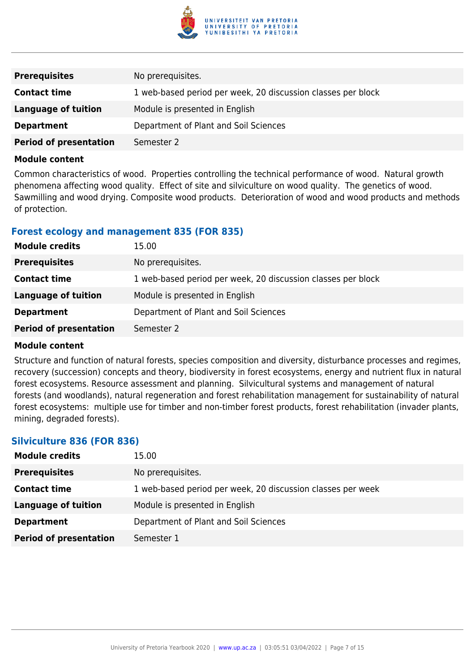

| <b>Prerequisites</b>          | No prerequisites.                                            |
|-------------------------------|--------------------------------------------------------------|
| <b>Contact time</b>           | 1 web-based period per week, 20 discussion classes per block |
| Language of tuition           | Module is presented in English                               |
| <b>Department</b>             | Department of Plant and Soil Sciences                        |
| <b>Period of presentation</b> | Semester 2                                                   |

Common characteristics of wood. Properties controlling the technical performance of wood. Natural growth phenomena affecting wood quality. Effect of site and silviculture on wood quality. The genetics of wood. Sawmilling and wood drying. Composite wood products. Deterioration of wood and wood products and methods of protection.

### **Forest ecology and management 835 (FOR 835)**

| <b>Module credits</b>         | 15.00                                                        |
|-------------------------------|--------------------------------------------------------------|
| <b>Prerequisites</b>          | No prerequisites.                                            |
| <b>Contact time</b>           | 1 web-based period per week, 20 discussion classes per block |
| <b>Language of tuition</b>    | Module is presented in English                               |
| <b>Department</b>             | Department of Plant and Soil Sciences                        |
| <b>Period of presentation</b> | Semester 2                                                   |

#### **Module content**

Structure and function of natural forests, species composition and diversity, disturbance processes and regimes, recovery (succession) concepts and theory, biodiversity in forest ecosystems, energy and nutrient flux in natural forest ecosystems. Resource assessment and planning. Silvicultural systems and management of natural forests (and woodlands), natural regeneration and forest rehabilitation management for sustainability of natural forest ecosystems: multiple use for timber and non-timber forest products, forest rehabilitation (invader plants, mining, degraded forests).

## **Silviculture 836 (FOR 836)**

| <b>Module credits</b>         | 15.00                                                       |
|-------------------------------|-------------------------------------------------------------|
| <b>Prerequisites</b>          | No prerequisites.                                           |
| <b>Contact time</b>           | 1 web-based period per week, 20 discussion classes per week |
| <b>Language of tuition</b>    | Module is presented in English                              |
| <b>Department</b>             | Department of Plant and Soil Sciences                       |
| <b>Period of presentation</b> | Semester 1                                                  |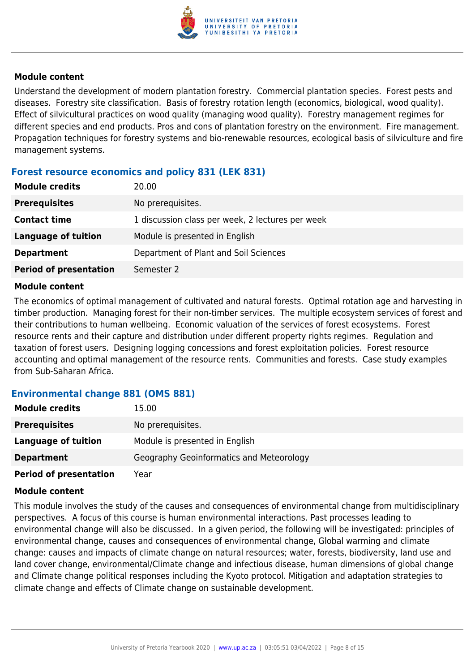

Understand the development of modern plantation forestry. Commercial plantation species. Forest pests and diseases. Forestry site classification. Basis of forestry rotation length (economics, biological, wood quality). Effect of silvicultural practices on wood quality (managing wood quality). Forestry management regimes for different species and end products. Pros and cons of plantation forestry on the environment. Fire management. Propagation techniques for forestry systems and bio-renewable resources, ecological basis of silviculture and fire management systems.

### **Forest resource economics and policy 831 (LEK 831)**

| <b>Module credits</b>         | 20.00                                            |
|-------------------------------|--------------------------------------------------|
| <b>Prerequisites</b>          | No prerequisites.                                |
| <b>Contact time</b>           | 1 discussion class per week, 2 lectures per week |
| Language of tuition           | Module is presented in English                   |
| <b>Department</b>             | Department of Plant and Soil Sciences            |
| <b>Period of presentation</b> | Semester 2                                       |

#### **Module content**

The economics of optimal management of cultivated and natural forests. Optimal rotation age and harvesting in timber production. Managing forest for their non-timber services. The multiple ecosystem services of forest and their contributions to human wellbeing. Economic valuation of the services of forest ecosystems. Forest resource rents and their capture and distribution under different property rights regimes. Regulation and taxation of forest users. Designing logging concessions and forest exploitation policies. Forest resource accounting and optimal management of the resource rents. Communities and forests. Case study examples from Sub-Saharan Africa.

#### **Environmental change 881 (OMS 881)**

| <b>Module credits</b>         | 15.00                                    |
|-------------------------------|------------------------------------------|
| <b>Prerequisites</b>          | No prerequisites.                        |
| Language of tuition           | Module is presented in English           |
| <b>Department</b>             | Geography Geoinformatics and Meteorology |
| <b>Period of presentation</b> | Year                                     |

#### **Module content**

This module involves the study of the causes and consequences of environmental change from multidisciplinary perspectives. A focus of this course is human environmental interactions. Past processes leading to environmental change will also be discussed. In a given period, the following will be investigated: principles of environmental change, causes and consequences of environmental change, Global warming and climate change: causes and impacts of climate change on natural resources; water, forests, biodiversity, land use and land cover change, environmental/Climate change and infectious disease, human dimensions of global change and Climate change political responses including the Kyoto protocol. Mitigation and adaptation strategies to climate change and effects of Climate change on sustainable development.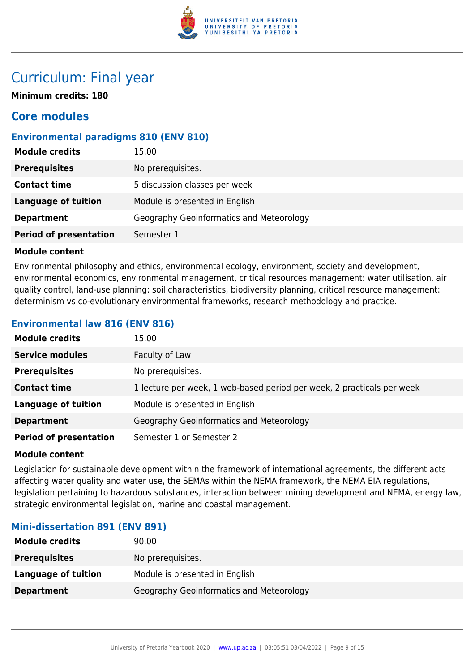

## Curriculum: Final year

**Minimum credits: 180**

## **Core modules**

## **Environmental paradigms 810 (ENV 810)**

| <b>Module credits</b><br>15.00 |                                          |
|--------------------------------|------------------------------------------|
| <b>Prerequisites</b>           | No prerequisites.                        |
| <b>Contact time</b>            | 5 discussion classes per week            |
| <b>Language of tuition</b>     | Module is presented in English           |
| <b>Department</b>              | Geography Geoinformatics and Meteorology |
| <b>Period of presentation</b>  | Semester 1                               |

#### **Module content**

Environmental philosophy and ethics, environmental ecology, environment, society and development, environmental economics, environmental management, critical resources management: water utilisation, air quality control, land-use planning: soil characteristics, biodiversity planning, critical resource management: determinism vs co-evolutionary environmental frameworks, research methodology and practice.

## **Environmental law 816 (ENV 816)**

| <b>Module credits</b>         | 15.00                                                                  |
|-------------------------------|------------------------------------------------------------------------|
| <b>Service modules</b>        | Faculty of Law                                                         |
| <b>Prerequisites</b>          | No prerequisites.                                                      |
| <b>Contact time</b>           | 1 lecture per week, 1 web-based period per week, 2 practicals per week |
| <b>Language of tuition</b>    | Module is presented in English                                         |
| <b>Department</b>             | Geography Geoinformatics and Meteorology                               |
| <b>Period of presentation</b> | Semester 1 or Semester 2                                               |

#### **Module content**

Legislation for sustainable development within the framework of international agreements, the different acts affecting water quality and water use, the SEMAs within the NEMA framework, the NEMA EIA regulations, legislation pertaining to hazardous substances, interaction between mining development and NEMA, energy law, strategic environmental legislation, marine and coastal management.

#### **Mini-dissertation 891 (ENV 891)**

| <b>Module credits</b> | 90.00                                    |
|-----------------------|------------------------------------------|
| <b>Prerequisites</b>  | No prerequisites.                        |
| Language of tuition   | Module is presented in English           |
| <b>Department</b>     | Geography Geoinformatics and Meteorology |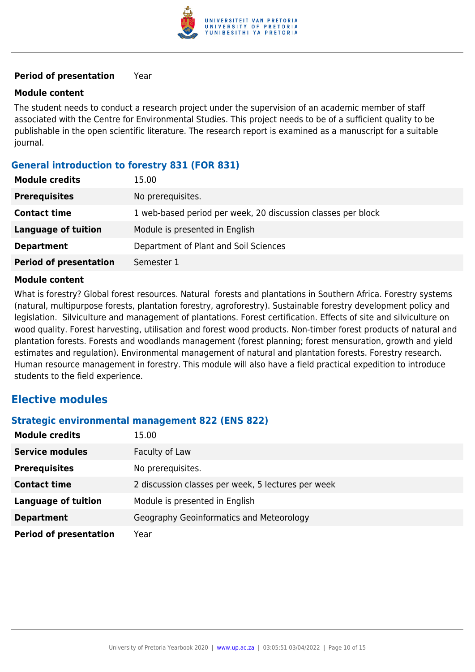

#### **Period of presentation** Year

#### **Module content**

The student needs to conduct a research project under the supervision of an academic member of staff associated with the Centre for Environmental Studies. This project needs to be of a sufficient quality to be publishable in the open scientific literature. The research report is examined as a manuscript for a suitable journal.

## **General introduction to forestry 831 (FOR 831)**

| <b>Module credits</b>         | 15.00                                                        |
|-------------------------------|--------------------------------------------------------------|
| <b>Prerequisites</b>          | No prerequisites.                                            |
| <b>Contact time</b>           | 1 web-based period per week, 20 discussion classes per block |
| Language of tuition           | Module is presented in English                               |
| <b>Department</b>             | Department of Plant and Soil Sciences                        |
| <b>Period of presentation</b> | Semester 1                                                   |

#### **Module content**

What is forestry? Global forest resources. Natural forests and plantations in Southern Africa. Forestry systems (natural, multipurpose forests, plantation forestry, agroforestry). Sustainable forestry development policy and legislation. Silviculture and management of plantations. Forest certification. Effects of site and silviculture on wood quality. Forest harvesting, utilisation and forest wood products. Non-timber forest products of natural and plantation forests. Forests and woodlands management (forest planning; forest mensuration, growth and yield estimates and regulation). Environmental management of natural and plantation forests. Forestry research. Human resource management in forestry. This module will also have a field practical expedition to introduce students to the field experience.

## **Elective modules**

#### **Strategic environmental management 822 (ENS 822)**

| <b>Module credits</b>         | 15.00                                              |
|-------------------------------|----------------------------------------------------|
| <b>Service modules</b>        | Faculty of Law                                     |
| <b>Prerequisites</b>          | No prerequisites.                                  |
| <b>Contact time</b>           | 2 discussion classes per week, 5 lectures per week |
| <b>Language of tuition</b>    | Module is presented in English                     |
| <b>Department</b>             | Geography Geoinformatics and Meteorology           |
| <b>Period of presentation</b> | Year                                               |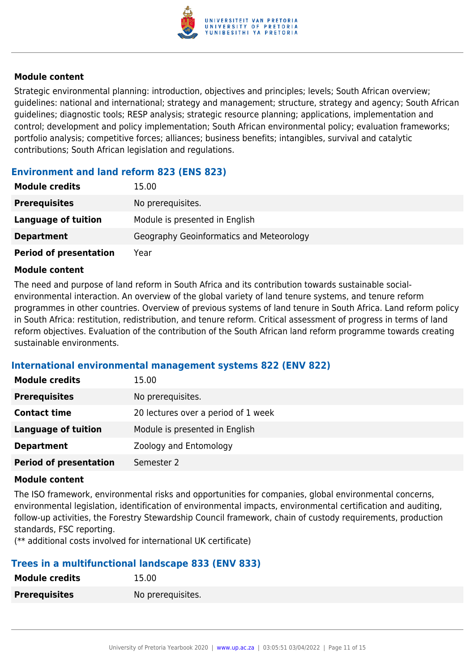

Strategic environmental planning: introduction, objectives and principles; levels; South African overview; guidelines: national and international; strategy and management; structure, strategy and agency; South African guidelines; diagnostic tools; RESP analysis; strategic resource planning; applications, implementation and control; development and policy implementation; South African environmental policy; evaluation frameworks; portfolio analysis; competitive forces; alliances; business benefits; intangibles, survival and catalytic contributions; South African legislation and regulations.

## **Environment and land reform 823 (ENS 823)**

| <b>Module credits</b>         | 15.00                                    |
|-------------------------------|------------------------------------------|
| <b>Prerequisites</b>          | No prerequisites.                        |
| Language of tuition           | Module is presented in English           |
| <b>Department</b>             | Geography Geoinformatics and Meteorology |
| <b>Period of presentation</b> | Year                                     |

#### **Module content**

The need and purpose of land reform in South Africa and its contribution towards sustainable socialenvironmental interaction. An overview of the global variety of land tenure systems, and tenure reform programmes in other countries. Overview of previous systems of land tenure in South Africa. Land reform policy in South Africa: restitution, redistribution, and tenure reform. Critical assessment of progress in terms of land reform objectives. Evaluation of the contribution of the South African land reform programme towards creating sustainable environments.

#### **International environmental management systems 822 (ENV 822)**

| <b>Module credits</b>         | 15.00                               |
|-------------------------------|-------------------------------------|
| <b>Prerequisites</b>          | No prerequisites.                   |
| <b>Contact time</b>           | 20 lectures over a period of 1 week |
| <b>Language of tuition</b>    | Module is presented in English      |
| <b>Department</b>             | Zoology and Entomology              |
| <b>Period of presentation</b> | Semester 2                          |

#### **Module content**

The ISO framework, environmental risks and opportunities for companies, global environmental concerns, environmental legislation, identification of environmental impacts, environmental certification and auditing, follow-up activities, the Forestry Stewardship Council framework, chain of custody requirements, production standards, FSC reporting.

(\*\* additional costs involved for international UK certificate)

## **Trees in a multifunctional landscape 833 (ENV 833)**

| <b>Module credits</b> | 15.00             |
|-----------------------|-------------------|
| <b>Prerequisites</b>  | No prerequisites. |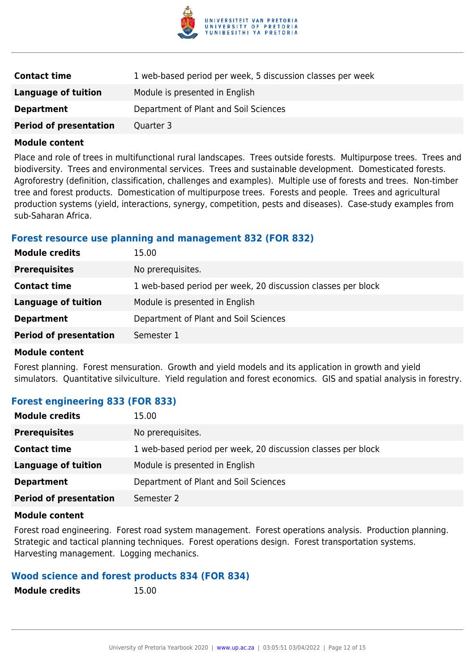

| <b>Contact time</b>           | 1 web-based period per week, 5 discussion classes per week |
|-------------------------------|------------------------------------------------------------|
| Language of tuition           | Module is presented in English                             |
| <b>Department</b>             | Department of Plant and Soil Sciences                      |
| <b>Period of presentation</b> | Quarter 3                                                  |

Place and role of trees in multifunctional rural landscapes. Trees outside forests. Multipurpose trees. Trees and biodiversity. Trees and environmental services. Trees and sustainable development. Domesticated forests. Agroforestry (definition, classification, challenges and examples). Multiple use of forests and trees. Non-timber tree and forest products. Domestication of multipurpose trees. Forests and people. Trees and agricultural production systems (yield, interactions, synergy, competition, pests and diseases). Case-study examples from sub-Saharan Africa.

#### **Forest resource use planning and management 832 (FOR 832)**

| <b>Module credits</b>         | 15.00                                                        |
|-------------------------------|--------------------------------------------------------------|
| <b>Prerequisites</b>          | No prerequisites.                                            |
| <b>Contact time</b>           | 1 web-based period per week, 20 discussion classes per block |
| <b>Language of tuition</b>    | Module is presented in English                               |
| <b>Department</b>             | Department of Plant and Soil Sciences                        |
| <b>Period of presentation</b> | Semester 1                                                   |
|                               |                                                              |

#### **Module content**

Forest planning. Forest mensuration. Growth and yield models and its application in growth and yield simulators. Quantitative silviculture. Yield regulation and forest economics. GIS and spatial analysis in forestry.

#### **Forest engineering 833 (FOR 833)**

| <b>Module credits</b>         | 15.00                                                        |
|-------------------------------|--------------------------------------------------------------|
| <b>Prerequisites</b>          | No prerequisites.                                            |
| <b>Contact time</b>           | 1 web-based period per week, 20 discussion classes per block |
| <b>Language of tuition</b>    | Module is presented in English                               |
| <b>Department</b>             | Department of Plant and Soil Sciences                        |
| <b>Period of presentation</b> | Semester 2                                                   |

#### **Module content**

Forest road engineering. Forest road system management. Forest operations analysis. Production planning. Strategic and tactical planning techniques. Forest operations design. Forest transportation systems. Harvesting management. Logging mechanics.

#### **Wood science and forest products 834 (FOR 834)**

| <b>Module credits</b> | 15.00 |
|-----------------------|-------|
|-----------------------|-------|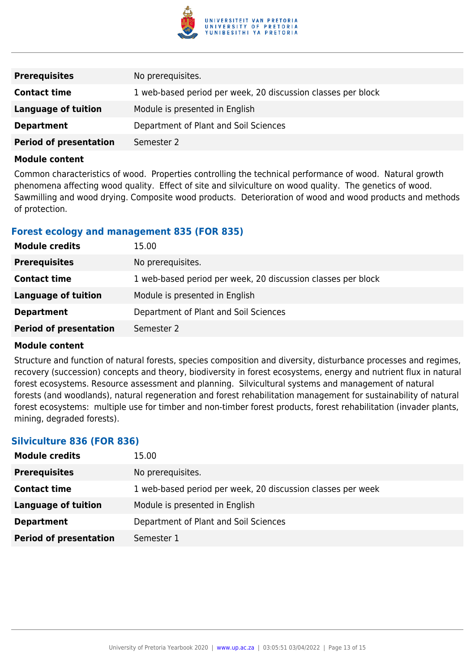

| <b>Prerequisites</b>          | No prerequisites.                                            |
|-------------------------------|--------------------------------------------------------------|
| <b>Contact time</b>           | 1 web-based period per week, 20 discussion classes per block |
| Language of tuition           | Module is presented in English                               |
| <b>Department</b>             | Department of Plant and Soil Sciences                        |
| <b>Period of presentation</b> | Semester 2                                                   |

Common characteristics of wood. Properties controlling the technical performance of wood. Natural growth phenomena affecting wood quality. Effect of site and silviculture on wood quality. The genetics of wood. Sawmilling and wood drying. Composite wood products. Deterioration of wood and wood products and methods of protection.

### **Forest ecology and management 835 (FOR 835)**

| <b>Module credits</b>         | 15.00                                                        |
|-------------------------------|--------------------------------------------------------------|
| <b>Prerequisites</b>          | No prerequisites.                                            |
| <b>Contact time</b>           | 1 web-based period per week, 20 discussion classes per block |
| <b>Language of tuition</b>    | Module is presented in English                               |
| <b>Department</b>             | Department of Plant and Soil Sciences                        |
| <b>Period of presentation</b> | Semester 2                                                   |

#### **Module content**

Structure and function of natural forests, species composition and diversity, disturbance processes and regimes, recovery (succession) concepts and theory, biodiversity in forest ecosystems, energy and nutrient flux in natural forest ecosystems. Resource assessment and planning. Silvicultural systems and management of natural forests (and woodlands), natural regeneration and forest rehabilitation management for sustainability of natural forest ecosystems: multiple use for timber and non-timber forest products, forest rehabilitation (invader plants, mining, degraded forests).

## **Silviculture 836 (FOR 836)**

| <b>Module credits</b>         | 15.00                                                       |
|-------------------------------|-------------------------------------------------------------|
| <b>Prerequisites</b>          | No prerequisites.                                           |
| <b>Contact time</b>           | 1 web-based period per week, 20 discussion classes per week |
| <b>Language of tuition</b>    | Module is presented in English                              |
| <b>Department</b>             | Department of Plant and Soil Sciences                       |
| <b>Period of presentation</b> | Semester 1                                                  |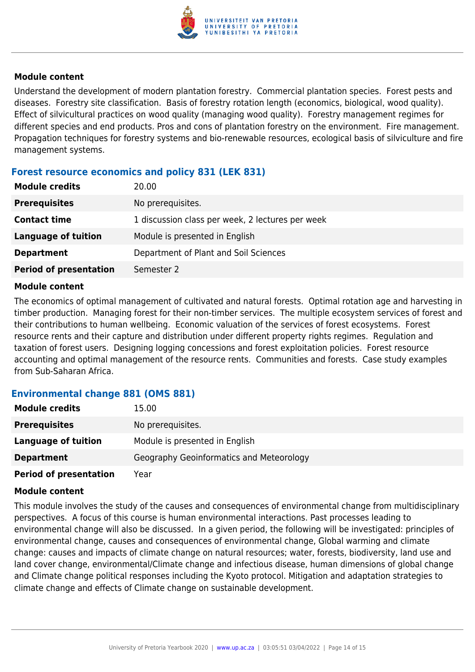

Understand the development of modern plantation forestry. Commercial plantation species. Forest pests and diseases. Forestry site classification. Basis of forestry rotation length (economics, biological, wood quality). Effect of silvicultural practices on wood quality (managing wood quality). Forestry management regimes for different species and end products. Pros and cons of plantation forestry on the environment. Fire management. Propagation techniques for forestry systems and bio-renewable resources, ecological basis of silviculture and fire management systems.

### **Forest resource economics and policy 831 (LEK 831)**

| <b>Module credits</b>         | 20.00                                            |
|-------------------------------|--------------------------------------------------|
| <b>Prerequisites</b>          | No prerequisites.                                |
| <b>Contact time</b>           | 1 discussion class per week, 2 lectures per week |
| Language of tuition           | Module is presented in English                   |
| <b>Department</b>             | Department of Plant and Soil Sciences            |
| <b>Period of presentation</b> | Semester 2                                       |

#### **Module content**

The economics of optimal management of cultivated and natural forests. Optimal rotation age and harvesting in timber production. Managing forest for their non-timber services. The multiple ecosystem services of forest and their contributions to human wellbeing. Economic valuation of the services of forest ecosystems. Forest resource rents and their capture and distribution under different property rights regimes. Regulation and taxation of forest users. Designing logging concessions and forest exploitation policies. Forest resource accounting and optimal management of the resource rents. Communities and forests. Case study examples from Sub-Saharan Africa.

#### **Environmental change 881 (OMS 881)**

| <b>Module credits</b>         | 15.00                                    |
|-------------------------------|------------------------------------------|
| <b>Prerequisites</b>          | No prerequisites.                        |
| Language of tuition           | Module is presented in English           |
| <b>Department</b>             | Geography Geoinformatics and Meteorology |
| <b>Period of presentation</b> | Year                                     |

#### **Module content**

This module involves the study of the causes and consequences of environmental change from multidisciplinary perspectives. A focus of this course is human environmental interactions. Past processes leading to environmental change will also be discussed. In a given period, the following will be investigated: principles of environmental change, causes and consequences of environmental change, Global warming and climate change: causes and impacts of climate change on natural resources; water, forests, biodiversity, land use and land cover change, environmental/Climate change and infectious disease, human dimensions of global change and Climate change political responses including the Kyoto protocol. Mitigation and adaptation strategies to climate change and effects of Climate change on sustainable development.